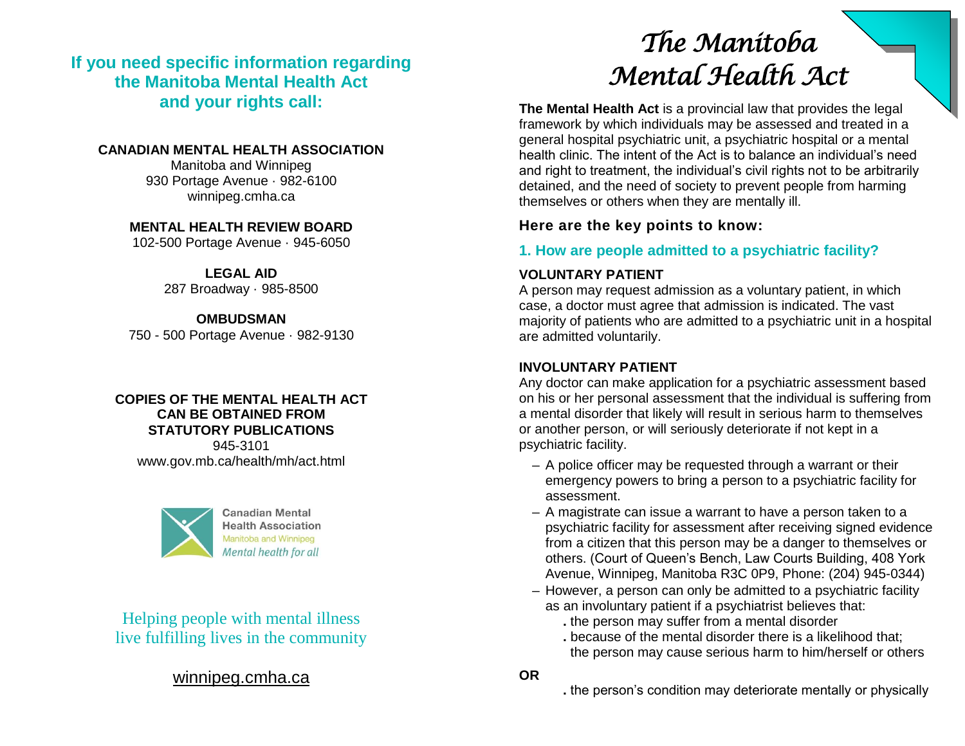**If you need specific information regarding the Manitoba Mental Health Act and your rights call:**

#### **CANADIAN MENTAL HEALTH ASSOCIATION**

Manitoba and Winnipeg 930 Portage Avenue · 982-6100 winnipeg.cmha.ca

**MENTAL HEALTH REVIEW BOARD**

102-500 Portage Avenue · 945-6050

**LEGAL AID** 287 Broadway · 985-8500

**OMBUDSMAN** 750 - 500 Portage Avenue · 982-9130

#### **COPIES OF THE MENTAL HEALTH ACT CAN BE OBTAINED FROM STATUTORY PUBLICATIONS** 945-3101

www.gov.mb.ca/health/mh/act.html



**Canadian Mental Health Association** Mental health for all

live fulfilling lives in the community Helping people with mental illness

# [winnipeg.cmha.ca](http://winnipeg.cmha.ca/)

# *The Manitoba Mental Health Act*

**The Mental Health Act** is a provincial law that provides the legal framework by which individuals may be assessed and treated in a general hospital psychiatric unit, a psychiatric hospital or a mental health clinic. The intent of the Act is to balance an individual's need and right to treatment, the individual's civil rights not to be arbitrarily detained, and the need of society to prevent people from harming themselves or others when they are mentally ill.

#### **Here are the key points to know:**

### **1. How are people admitted to a psychiatric facility?**

#### **VOLUNTARY PATIENT**

A person may request admission as a voluntary patient, in which case, a doctor must agree that admission is indicated. The vast majority of patients who are admitted to a psychiatric unit in a hospital are admitted voluntarily.

#### **INVOLUNTARY PATIENT**

Any doctor can make application for a psychiatric assessment based on his or her personal assessment that the individual is suffering from a mental disorder that likely will result in serious harm to themselves or another person, or will seriously deteriorate if not kept in a psychiatric facility.

- **–** A police officer may be requested through a warrant or their emergency powers to bring a person to a psychiatric facility for assessment.
- **–** A magistrate can issue a warrant to have a person taken to a psychiatric facility for assessment after receiving signed evidence from a citizen that this person may be a danger to themselves or others. (Court of Queen's Bench, Law Courts Building, 408 York Avenue, Winnipeg, Manitoba R3C 0P9, Phone: (204) 945-0344)
- **–** However, a person can only be admitted to a psychiatric facility as an involuntary patient if a psychiatrist believes that:
	- **.** the person may suffer from a mental disorder
	- **.** because of the mental disorder there is a likelihood that; the person may cause serious harm to him/herself or others

**OR**

**.** the person's condition may deteriorate mentally or physically